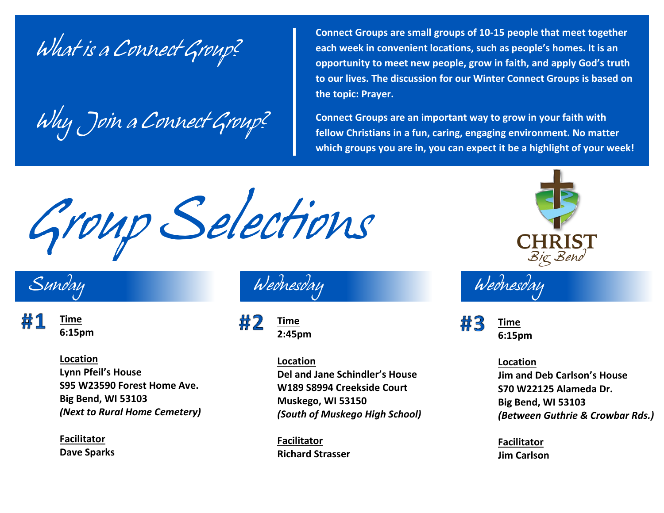*What is a Connect Group?*

*Why Join a Connect Group?*

**Connect Groups are small groups of 10-15 people that meet together each week in convenient locations, such as people's homes. It is an opportunity to meet new people, grow in faith, and apply God's truth to our lives. The discussion for our Winter Connect Groups is based on the topic: Prayer.**

**Connect Groups are an important way to grow in your faith with fellow Christians in a fun, caring, engaging environment. No matter which groups you are in, you can expect it be a highlight of your week!**

*Group Selections*



**Time 6:15pm**

> **Location Lynn Pfeil's House S95 W23590 Forest Home Ave. Big Bend, WI 53103** *(Next to Rural Home Cemetery)*

**Facilitator Dave Sparks**

帯フ **Time 2:45pm**

> **Location Del and Jane Schindler's House W189 S8994 Creekside Court Muskego, WI 53150** *(South of Muskego High School)*

**Facilitator Richard Strasser**



*Wednesday Wednesday*

帯3 **Time 6:15pm**

**Location**

**Jim and Deb Carlson's House S70 W22125 Alameda Dr. Big Bend, WI 53103** *(Between Guthrie & Crowbar Rds.)*

**Facilitator Jim Carlson**